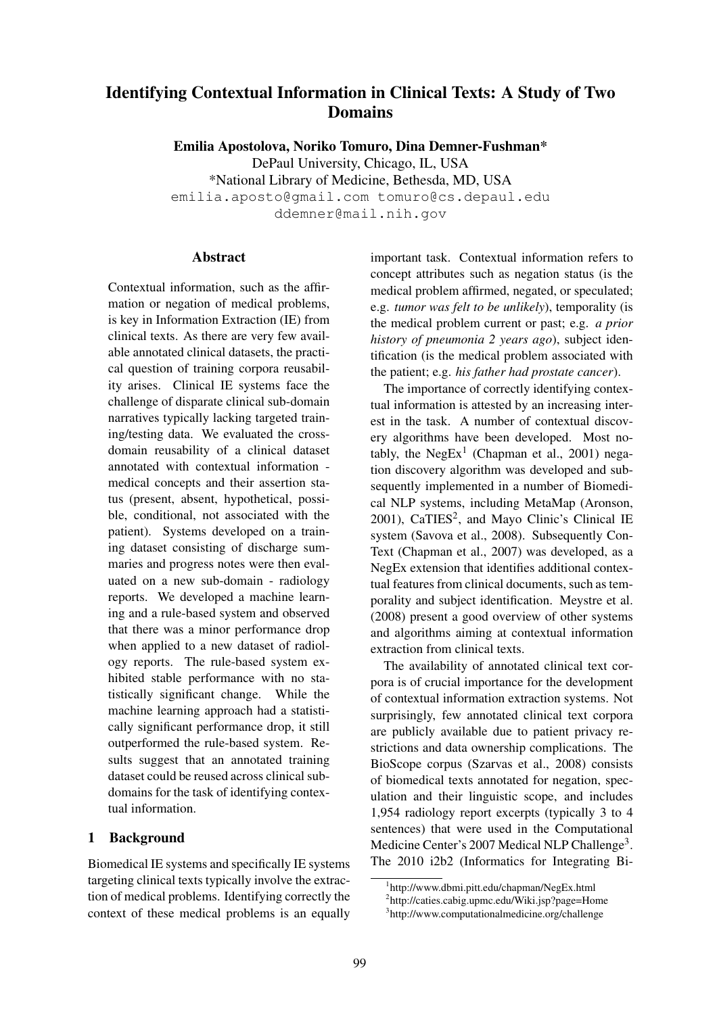# Identifying Contextual Information in Clinical Texts: A Study of Two **Domains**

Emilia Apostolova, Noriko Tomuro, Dina Demner-Fushman\* DePaul University, Chicago, IL, USA \*National Library of Medicine, Bethesda, MD, USA emilia.aposto@gmail.com tomuro@cs.depaul.edu ddemner@mail.nih.gov

## Abstract

Contextual information, such as the affirmation or negation of medical problems, is key in Information Extraction (IE) from clinical texts. As there are very few available annotated clinical datasets, the practical question of training corpora reusability arises. Clinical IE systems face the challenge of disparate clinical sub-domain narratives typically lacking targeted training/testing data. We evaluated the crossdomain reusability of a clinical dataset annotated with contextual information medical concepts and their assertion status (present, absent, hypothetical, possible, conditional, not associated with the patient). Systems developed on a training dataset consisting of discharge summaries and progress notes were then evaluated on a new sub-domain - radiology reports. We developed a machine learning and a rule-based system and observed that there was a minor performance drop when applied to a new dataset of radiology reports. The rule-based system exhibited stable performance with no statistically significant change. While the machine learning approach had a statistically significant performance drop, it still outperformed the rule-based system. Results suggest that an annotated training dataset could be reused across clinical subdomains for the task of identifying contextual information.

# 1 Background

Biomedical IE systems and specifically IE systems targeting clinical texts typically involve the extraction of medical problems. Identifying correctly the context of these medical problems is an equally important task. Contextual information refers to concept attributes such as negation status (is the medical problem affirmed, negated, or speculated; e.g. *tumor was felt to be unlikely*), temporality (is the medical problem current or past; e.g. *a prior history of pneumonia 2 years ago*), subject identification (is the medical problem associated with the patient; e.g. *his father had prostate cancer*).

The importance of correctly identifying contextual information is attested by an increasing interest in the task. A number of contextual discovery algorithms have been developed. Most notably, the  $NegEx<sup>1</sup>$  (Chapman et al., 2001) negation discovery algorithm was developed and subsequently implemented in a number of Biomedical NLP systems, including MetaMap (Aronson, 2001), CaTIES<sup>2</sup>, and Mayo Clinic's Clinical IE system (Savova et al., 2008). Subsequently Con-Text (Chapman et al., 2007) was developed, as a NegEx extension that identifies additional contextual features from clinical documents, such as temporality and subject identification. Meystre et al. (2008) present a good overview of other systems and algorithms aiming at contextual information extraction from clinical texts.

The availability of annotated clinical text corpora is of crucial importance for the development of contextual information extraction systems. Not surprisingly, few annotated clinical text corpora are publicly available due to patient privacy restrictions and data ownership complications. The BioScope corpus (Szarvas et al., 2008) consists of biomedical texts annotated for negation, speculation and their linguistic scope, and includes 1,954 radiology report excerpts (typically 3 to 4 sentences) that were used in the Computational Medicine Center's 2007 Medical NLP Challenge<sup>3</sup>. The 2010 i2b2 (Informatics for Integrating Bi-

<sup>1</sup> http://www.dbmi.pitt.edu/chapman/NegEx.html

<sup>2</sup> http://caties.cabig.upmc.edu/Wiki.jsp?page=Home

<sup>3</sup> http://www.computationalmedicine.org/challenge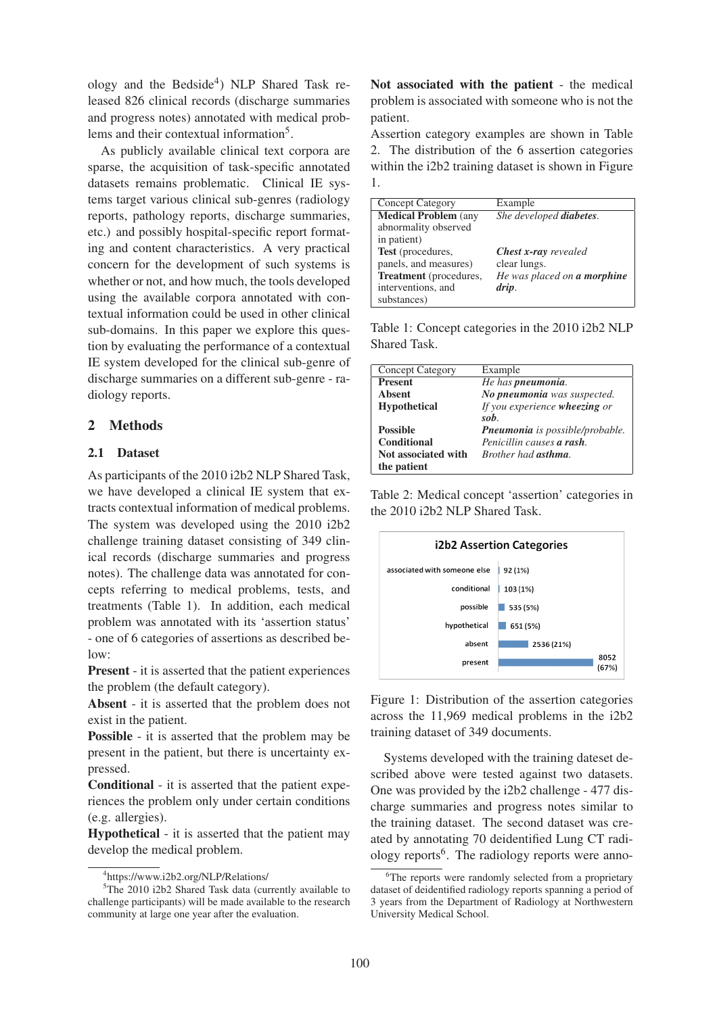ology and the Bedside<sup>4</sup>) NLP Shared Task released 826 clinical records (discharge summaries and progress notes) annotated with medical problems and their contextual information<sup>5</sup>.

As publicly available clinical text corpora are sparse, the acquisition of task-specific annotated datasets remains problematic. Clinical IE systems target various clinical sub-genres (radiology reports, pathology reports, discharge summaries, etc.) and possibly hospital-specific report formating and content characteristics. A very practical concern for the development of such systems is whether or not, and how much, the tools developed using the available corpora annotated with contextual information could be used in other clinical sub-domains. In this paper we explore this question by evaluating the performance of a contextual IE system developed for the clinical sub-genre of discharge summaries on a different sub-genre - radiology reports.

# 2 Methods

## 2.1 Dataset

As participants of the 2010 i2b2 NLP Shared Task, we have developed a clinical IE system that extracts contextual information of medical problems. The system was developed using the 2010 i2b2 challenge training dataset consisting of 349 clinical records (discharge summaries and progress notes). The challenge data was annotated for concepts referring to medical problems, tests, and treatments (Table 1). In addition, each medical problem was annotated with its 'assertion status' - one of 6 categories of assertions as described below:

Present - it is asserted that the patient experiences the problem (the default category).

Absent - it is asserted that the problem does not exist in the patient.

Possible - it is asserted that the problem may be present in the patient, but there is uncertainty expressed.

Conditional - it is asserted that the patient experiences the problem only under certain conditions (e.g. allergies).

Hypothetical - it is asserted that the patient may develop the medical problem.

Not associated with the patient - the medical problem is associated with someone who is not the patient.

Assertion category examples are shown in Table 2. The distribution of the 6 assertion categories within the i2b2 training dataset is shown in Figure 1.

| <b>Concept Category</b>       | Example                            |
|-------------------------------|------------------------------------|
| <b>Medical Problem (any</b>   | She developed diabetes.            |
| abnormality observed          |                                    |
| in patient)                   |                                    |
| <b>Test</b> (procedures,      | <b>Chest x-ray</b> revealed        |
| panels, and measures)         | clear lungs.                       |
| <b>Treatment</b> (procedures, | He was placed on <b>a morphine</b> |
| interventions, and            | drip.                              |
| substances)                   |                                    |
|                               |                                    |

Table 1: Concept categories in the 2010 i2b2 NLP Shared Task.

| Example                         |
|---------------------------------|
| He has <b>pneumonia</b> .       |
| No pneumonia was suspected.     |
| If you experience wheezing or   |
| sob.                            |
| Pneumonia is possible/probable. |
| Penicillin causes a rash        |
| Brother had <b>asthma</b>       |
|                                 |
|                                 |

Table 2: Medical concept 'assertion' categories in the 2010 i2b2 NLP Shared Task.



Figure 1: Distribution of the assertion categories across the 11,969 medical problems in the i2b2 training dataset of 349 documents.

Systems developed with the training dateset described above were tested against two datasets. One was provided by the i2b2 challenge - 477 discharge summaries and progress notes similar to the training dataset. The second dataset was created by annotating 70 deidentified Lung CT radiology reports<sup>6</sup>. The radiology reports were anno-

<sup>4</sup> https://www.i2b2.org/NLP/Relations/

<sup>&</sup>lt;sup>5</sup>The 2010 i2b2 Shared Task data (currently available to challenge participants) will be made available to the research community at large one year after the evaluation.

<sup>&</sup>lt;sup>6</sup>The reports were randomly selected from a proprietary dataset of deidentified radiology reports spanning a period of 3 years from the Department of Radiology at Northwestern University Medical School.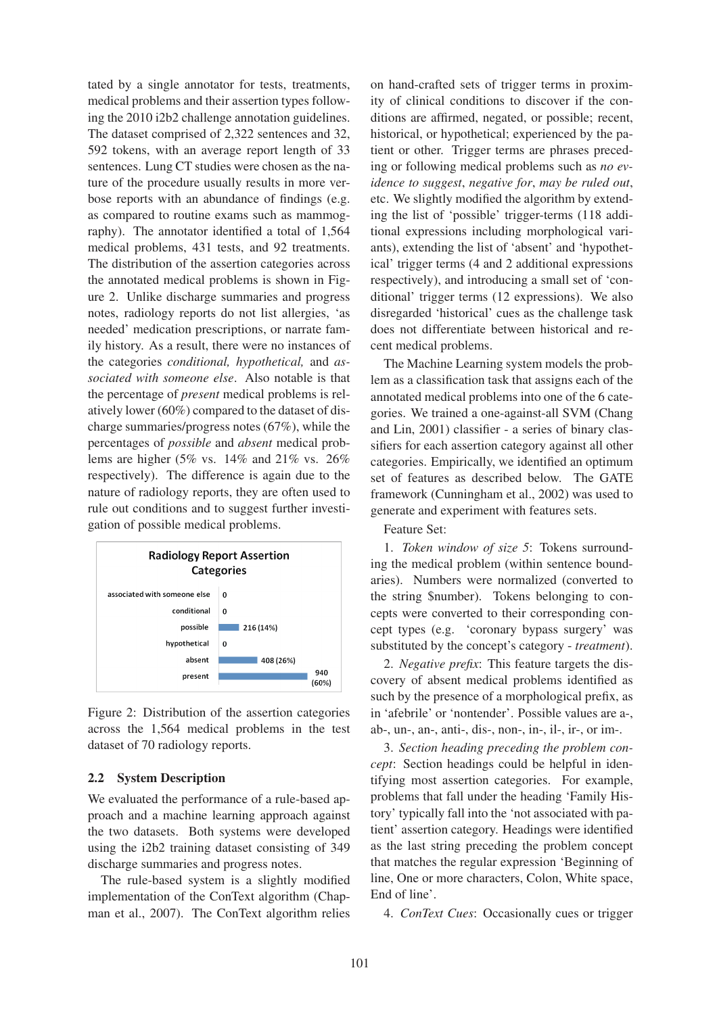tated by a single annotator for tests, treatments, medical problems and their assertion types following the 2010 i2b2 challenge annotation guidelines. The dataset comprised of 2,322 sentences and 32, 592 tokens, with an average report length of 33 sentences. Lung CT studies were chosen as the nature of the procedure usually results in more verbose reports with an abundance of findings (e.g. as compared to routine exams such as mammography). The annotator identified a total of 1,564 medical problems, 431 tests, and 92 treatments. The distribution of the assertion categories across the annotated medical problems is shown in Figure 2. Unlike discharge summaries and progress notes, radiology reports do not list allergies, 'as needed' medication prescriptions, or narrate family history. As a result, there were no instances of the categories *conditional, hypothetical,* and *associated with someone else*. Also notable is that the percentage of *present* medical problems is relatively lower (60%) compared to the dataset of discharge summaries/progress notes (67%), while the percentages of *possible* and *absent* medical problems are higher (5% vs. 14% and 21% vs. 26% respectively). The difference is again due to the nature of radiology reports, they are often used to rule out conditions and to suggest further investigation of possible medical problems.



Figure 2: Distribution of the assertion categories across the 1,564 medical problems in the test dataset of 70 radiology reports.

### 2.2 System Description

We evaluated the performance of a rule-based approach and a machine learning approach against the two datasets. Both systems were developed using the i2b2 training dataset consisting of 349 discharge summaries and progress notes.

The rule-based system is a slightly modified implementation of the ConText algorithm (Chapman et al., 2007). The ConText algorithm relies on hand-crafted sets of trigger terms in proximity of clinical conditions to discover if the conditions are affirmed, negated, or possible; recent, historical, or hypothetical; experienced by the patient or other. Trigger terms are phrases preceding or following medical problems such as *no evidence to suggest*, *negative for*, *may be ruled out*, etc. We slightly modified the algorithm by extending the list of 'possible' trigger-terms (118 additional expressions including morphological variants), extending the list of 'absent' and 'hypothetical' trigger terms (4 and 2 additional expressions respectively), and introducing a small set of 'conditional' trigger terms (12 expressions). We also disregarded 'historical' cues as the challenge task does not differentiate between historical and recent medical problems.

The Machine Learning system models the problem as a classification task that assigns each of the annotated medical problems into one of the 6 categories. We trained a one-against-all SVM (Chang and Lin, 2001) classifier - a series of binary classifiers for each assertion category against all other categories. Empirically, we identified an optimum set of features as described below. The GATE framework (Cunningham et al., 2002) was used to generate and experiment with features sets.

Feature Set:

1. *Token window of size 5*: Tokens surrounding the medical problem (within sentence boundaries). Numbers were normalized (converted to the string \$number). Tokens belonging to concepts were converted to their corresponding concept types (e.g. 'coronary bypass surgery' was substituted by the concept's category - *treatment*).

2. *Negative prefix*: This feature targets the discovery of absent medical problems identified as such by the presence of a morphological prefix, as in 'afebrile' or 'nontender'. Possible values are a-, ab-, un-, an-, anti-, dis-, non-, in-, il-, ir-, or im-.

3. *Section heading preceding the problem concept*: Section headings could be helpful in identifying most assertion categories. For example, problems that fall under the heading 'Family History' typically fall into the 'not associated with patient' assertion category. Headings were identified as the last string preceding the problem concept that matches the regular expression 'Beginning of line, One or more characters, Colon, White space, End of line'.

4. *ConText Cues*: Occasionally cues or trigger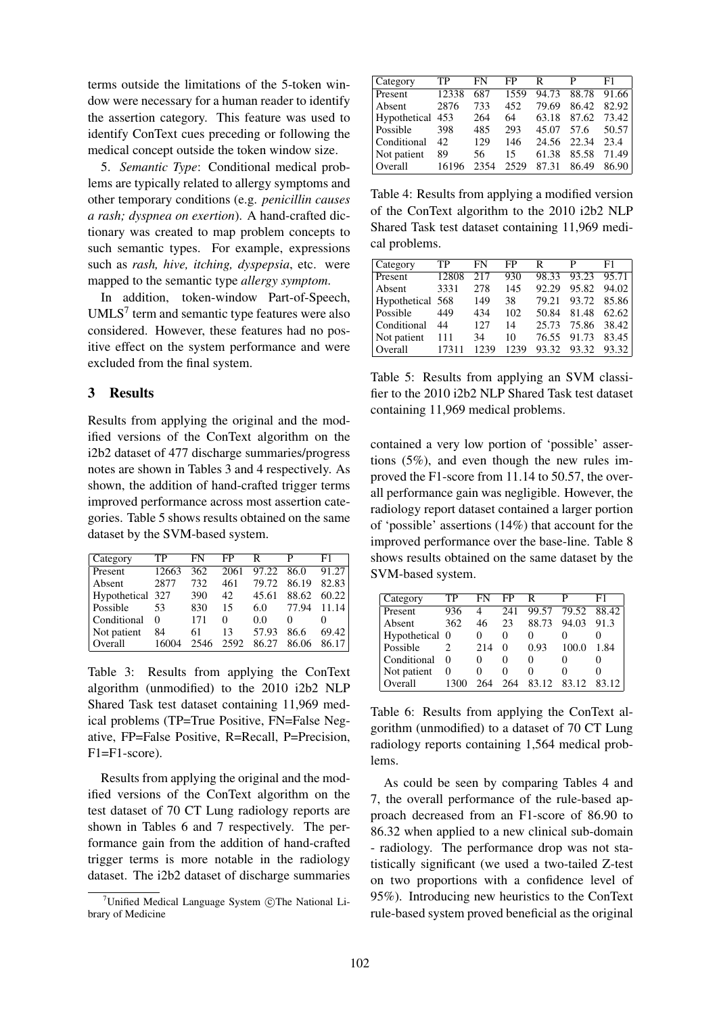terms outside the limitations of the 5-token window were necessary for a human reader to identify the assertion category. This feature was used to identify ConText cues preceding or following the medical concept outside the token window size.

5. *Semantic Type*: Conditional medical problems are typically related to allergy symptoms and other temporary conditions (e.g. *penicillin causes a rash; dyspnea on exertion*). A hand-crafted dictionary was created to map problem concepts to such semantic types. For example, expressions such as *rash, hive, itching, dyspepsia*, etc. were mapped to the semantic type *allergy symptom*.

In addition, token-window Part-of-Speech,  $UMLS<sup>7</sup>$  term and semantic type features were also considered. However, these features had no positive effect on the system performance and were excluded from the final system.

## 3 Results

Results from applying the original and the modified versions of the ConText algorithm on the i2b2 dataset of 477 discharge summaries/progress notes are shown in Tables 3 and 4 respectively. As shown, the addition of hand-crafted trigger terms improved performance across most assertion categories. Table 5 shows results obtained on the same dataset by the SVM-based system.

| Category         | TР    | FN   | FP   | R     | р     | F1    |
|------------------|-------|------|------|-------|-------|-------|
| Present          | 12663 | 362  | 2061 | 97.22 | 86.0  | 91.27 |
| Absent           | 2877  | 732  | 461  | 79.72 | 86.19 | 82.83 |
| Hypothetical 327 |       | 390  | 42   | 45.61 | 88.62 | 60.22 |
| Possible         | 53    | 830  | 15   | 6.0   | 77.94 | 11.14 |
| Conditional      | 0     | 171  | 0    | 0.0   |       |       |
| Not patient      | 84    | 61   | 13   | 57.93 | 86.6  | 69.42 |
| Overall          | 16004 | 2546 | 2592 | 86 27 | 86.06 | 86.17 |

Table 3: Results from applying the ConText algorithm (unmodified) to the 2010 i2b2 NLP Shared Task test dataset containing 11,969 medical problems (TP=True Positive, FN=False Negative, FP=False Positive, R=Recall, P=Precision, F1=F1-score).

Results from applying the original and the modified versions of the ConText algorithm on the test dataset of 70 CT Lung radiology reports are shown in Tables 6 and 7 respectively. The performance gain from the addition of hand-crafted trigger terms is more notable in the radiology dataset. The i2b2 dataset of discharge summaries

| Category         | TР    | FN   | FP   | R     | р     | F1    |
|------------------|-------|------|------|-------|-------|-------|
| Present          | 12338 | 687  | 1559 | 94.73 | 88.78 | 91.66 |
| Absent           | 2876  | 733  | 452  | 79.69 | 86.42 | 82.92 |
| Hypothetical 453 |       | 264  | 64   | 63.18 | 87.62 | 73.42 |
| Possible         | 398   | 485  | 293  | 45.07 | 57.6  | 50.57 |
| Conditional      | 42    | 129  | 146  | 24.56 | 22.34 | 23.4  |
| Not patient      | 89    | 56   | 15   | 61.38 | 85.58 | 71.49 |
| Overall          | 16196 | 2354 | 2529 | 87.31 | 86.49 | 86.90 |

Table 4: Results from applying a modified version of the ConText algorithm to the 2010 i2b2 NLP Shared Task test dataset containing 11,969 medical problems.

| Category         | TP    | FN   | FP   | R     | P     | F1    |
|------------------|-------|------|------|-------|-------|-------|
| Present          | 12808 | 217  | 930  | 98.33 | 93.23 | 95.71 |
| Absent           | 3331  | 278  | 145  | 92.29 | 95.82 | 94.02 |
| Hypothetical 568 |       | 149  | 38   | 79.21 | 93.72 | 85.86 |
| Possible         | 449   | 434  | 102  | 50.84 | 81.48 | 62.62 |
| Conditional      | 44    | 127  | 14   | 25.73 | 75.86 | 38.42 |
| Not patient      | 111   | 34   | 10   | 76.55 | 91.73 | 83.45 |
| Overall          | 17311 | 1239 | 1239 | 93.32 | 93.32 | 93.32 |

Table 5: Results from applying an SVM classifier to the 2010 i2b2 NLP Shared Task test dataset containing 11,969 medical problems.

contained a very low portion of 'possible' assertions (5%), and even though the new rules improved the F1-score from 11.14 to 50.57, the overall performance gain was negligible. However, the radiology report dataset contained a larger portion of 'possible' assertions (14%) that account for the improved performance over the base-line. Table 8 shows results obtained on the same dataset by the SVM-based system.

| Category       | TР       | FN                | FP                | R        | р                 | F1    |
|----------------|----------|-------------------|-------------------|----------|-------------------|-------|
| Present        | 936      | 4                 | 241               | 99.57    | 79.52             | 88.42 |
| Absent         | 362      | 46                | 23                | 88.73    | 94.03             | 91.3  |
| Hypothetical 0 |          | 0                 | $\theta$          | 0        |                   |       |
| Possible       |          | 214               | $\mathbf{\Omega}$ | 0.93     | 100.0             | 1.84  |
| Conditional    | $\theta$ | $\mathbf{\Omega}$ | $\mathbf{0}$      | $\theta$ | $\mathbf{\Omega}$ |       |
| Not patient    | 0        | 0                 | 0                 | 0        | 0                 |       |
| Overall        | 1300     | 264               | 264               | 83.12    | 83.12             | 83.12 |

Table 6: Results from applying the ConText algorithm (unmodified) to a dataset of 70 CT Lung radiology reports containing 1,564 medical problems.

As could be seen by comparing Tables 4 and 7, the overall performance of the rule-based approach decreased from an F1-score of 86.90 to 86.32 when applied to a new clinical sub-domain - radiology. The performance drop was not statistically significant (we used a two-tailed Z-test on two proportions with a confidence level of 95%). Introducing new heuristics to the ConText rule-based system proved beneficial as the original

<sup>&</sup>lt;sup>7</sup>Unified Medical Language System  $\odot$ The National Library of Medicine